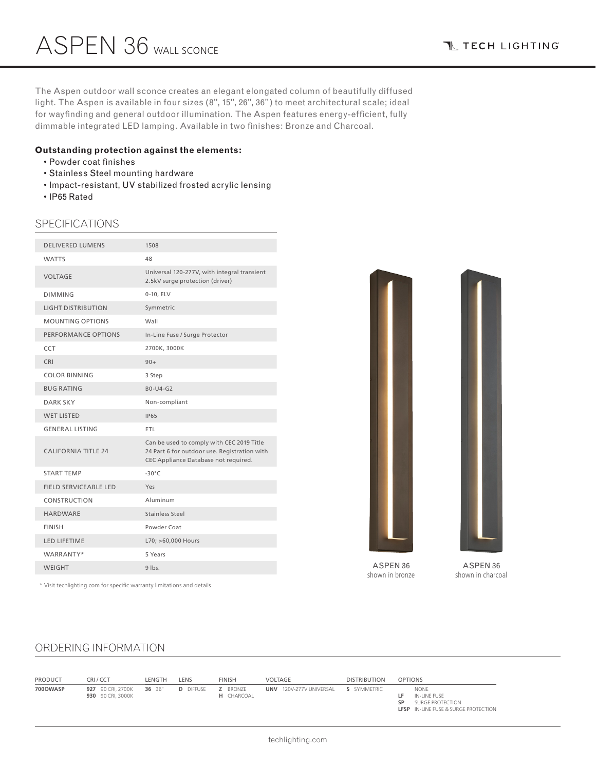**T TECH LIGHTING** 

The Aspen outdoor wall sconce creates an elegant elongated column of beautifully diffused light. The Aspen is available in four sizes (8", 15", 26", 36") to meet architectural scale; ideal for wayfinding and general outdoor illumination. The Aspen features energy-efficient, fully dimmable integrated LED lamping. Available in two finishes: Bronze and Charcoal.

## **Outstanding protection against the elements:**

- Powder coat finishes
- Stainless Steel mounting hardware
- Impact-resistant, UV stabilized frosted acrylic lensing
- IP65 Rated

# SPECIFICATIONS

| <b>DELIVERED LUMENS</b>      | 1508                                                                                                                              |
|------------------------------|-----------------------------------------------------------------------------------------------------------------------------------|
| <b>WATTS</b>                 | 48                                                                                                                                |
| <b>VOLTAGE</b>               | Universal 120-277V, with integral transient<br>2.5kV surge protection (driver)                                                    |
| <b>DIMMING</b>               | 0-10, ELV                                                                                                                         |
| <b>LIGHT DISTRIBUTION</b>    | Symmetric                                                                                                                         |
| <b>MOUNTING OPTIONS</b>      | Wall                                                                                                                              |
| PERFORMANCE OPTIONS          | In-Line Fuse / Surge Protector                                                                                                    |
| <b>CCT</b>                   | 2700K, 3000K                                                                                                                      |
| CRI                          | $90+$                                                                                                                             |
| <b>COLOR BINNING</b>         | 3 Step                                                                                                                            |
| <b>BUG RATING</b>            | $B0-U4-G2$                                                                                                                        |
| <b>DARK SKY</b>              | Non-compliant                                                                                                                     |
| <b>WET LISTED</b>            | <b>IP65</b>                                                                                                                       |
| <b>GENERAL LISTING</b>       | <b>ETL</b>                                                                                                                        |
| <b>CALIFORNIA TITLE 24</b>   | Can be used to comply with CEC 2019 Title<br>24 Part 6 for outdoor use. Registration with<br>CEC Appliance Database not required. |
| <b>START TEMP</b>            | $-30^{\circ}$ C                                                                                                                   |
| <b>FIELD SERVICEABLE LED</b> | Yes                                                                                                                               |
| CONSTRUCTION                 | Aluminum                                                                                                                          |
| <b>HARDWARE</b>              | Stainless Steel                                                                                                                   |
| <b>FINISH</b>                | Powder Coat                                                                                                                       |
| <b>LED LIFETIME</b>          | L70; >60,000 Hours                                                                                                                |
| WARRANTY*                    | 5 Years                                                                                                                           |
| <b>WEIGHT</b>                | $9$ lbs.                                                                                                                          |
|                              |                                                                                                                                   |

\* Visit techlighting.com for specific warranty limitations and details.



ASPEN 36 shown in bronze

ASPEN 36 shown in charcoal

# ORDERING INFORMATION

| PRODUCT  | CRI/CCT                                | LENGTH | LENS             | <b>FINISH</b>                        | VOLTAGE                 | <b>DISTRIBUTION</b> | <b>OPTIONS</b>                                                                                       |
|----------|----------------------------------------|--------|------------------|--------------------------------------|-------------------------|---------------------|------------------------------------------------------------------------------------------------------|
| 700OWASP | 927 90 CRI, 2700K<br>930 90 CRI, 3000K | 36 36" | <b>D</b> DIFFUSE | <b>Z</b> BRONZE<br><b>H</b> CHARCOAL | UNV 120V-277V UNIVERSAL | S SYMMETRIC         | <b>NONE</b><br>IN-LINE FUSE<br>SURGE PROTECTION<br>SP<br><b>LFSP</b> IN-LINE FUSE & SURGE PROTECTION |